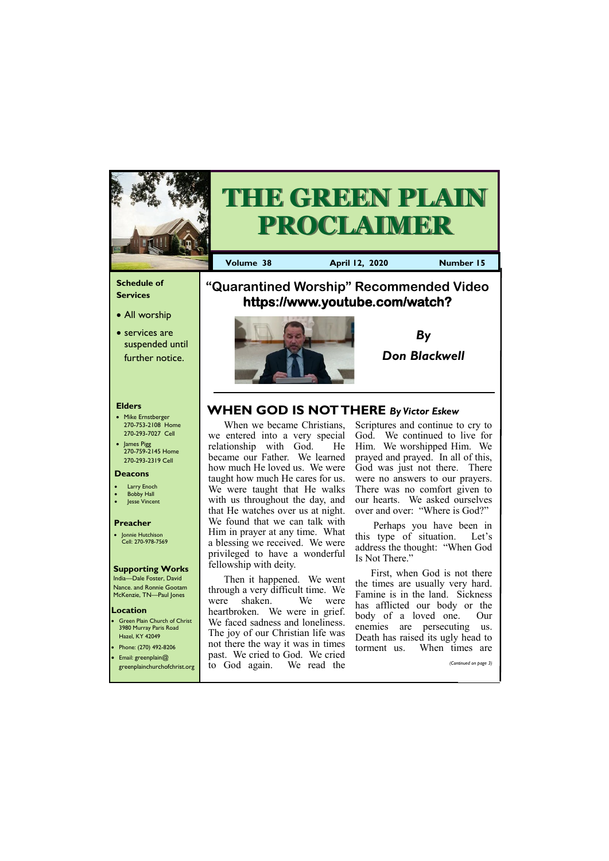## **Schedule of Services**

• All worship

• services are suspended until further notice.

### **Elders**

- Mike Ernstberger 270-753-2108 Home 270-293-7027 Cell
- James Pigg 270-759-2145 Home 270-293-2319 Cell

**Green Plain Church of Christ** 3980 Murray Paris Road Hazel, KY 42049 • Phone: (270) 492-8206

### **Location**



**PROCLAIMER** 

**Volume 38 April 12, 2020 Number 15**



#### **Deacons**

- **Larry Enoch**
- **Bobby Hall**
- **Jesse Vincent**

### **Preacher**

• Jonnie Hutchison Cell: 270-978-7569

## **Supporting Works**

India—Dale Foster, David Nance. and Ronnie Gootam McKenzie, TN—Paul Jones

# **"Quarantined Worship" Recommended Video https://www.youtube.com/watch?**

When we became Christians, we entered into a very special relationship with God. He became our Father. We learned how much He loved us. We were taught how much He cares for us. We were taught that He walks with us throughout the day, and that He watches over us at night. We found that we can talk with Him in prayer at any time. What a blessing we received. We were privileged to have a wonderful fellowship with deity.

| $\bullet$ Email: greenplain@ | past. We cried to God. We cried                        | williville up. | wuxu uniyo div        |
|------------------------------|--------------------------------------------------------|----------------|-----------------------|
|                              | greenplainchurchofchrist.org to God again. We read the |                | (Continued on page 3) |
|                              |                                                        |                |                       |

Then it happened. We went through a very difficult time. We were shaken. We were heartbroken. We were in grief. We faced sadness and loneliness. The joy of our Christian life was not there the way it was in times

Scriptures and continue to cry to God. We continued to live for Him. We worshipped Him. We prayed and prayed. In all of this, God was just not there. There were no answers to our prayers. There was no comfort given to our hearts. We asked ourselves over and over: "Where is God?"

Perhaps you have been in this type of situation. Let's address the thought: "When God Is Not There."

First, when God is not there the times are usually very hard. Famine is in the land. Sickness has afflicted our body or the body of a loved one. Our enemies are persecuting us. Death has raised its ugly head to torment us. When times are

*By Don Blackwell*

# **WHEN GOD IS NOT THERE** *By Victor Eskew*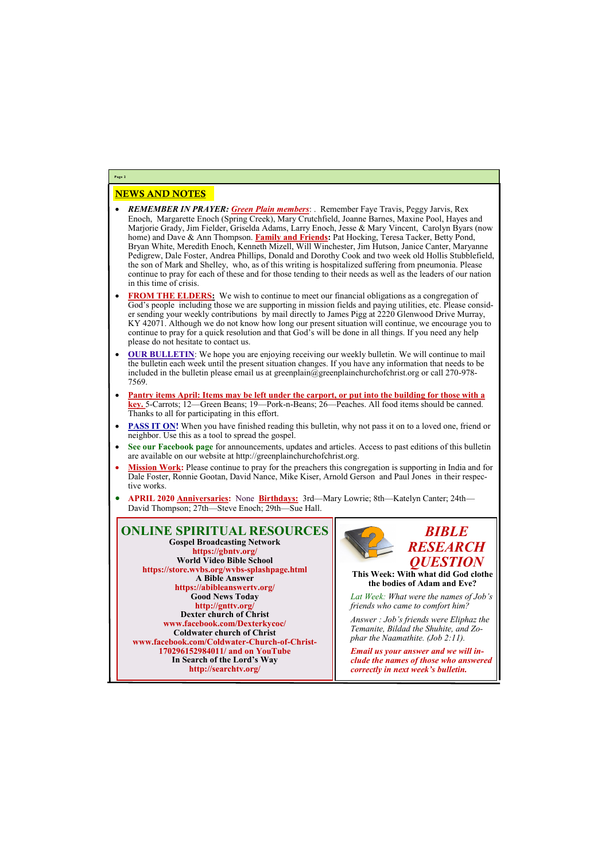## NEWS AND NOTES

- *REMEMBER IN PRAYER: Green Plain members*: . Remember Faye Travis, Peggy Jarvis, Rex Enoch, Margarette Enoch (Spring Creek), Mary Crutchfield, Joanne Barnes, Maxine Pool, Hayes and Marjorie Grady, Jim Fielder, Griselda Adams, Larry Enoch, Jesse & Mary Vincent, Carolyn Byars (now home) and Dave & Ann Thompson. **Family and Friends:** Pat Hocking, Teresa Tacker, Betty Pond, Bryan White, Meredith Enoch, Kenneth Mizell, Will Winchester, Jim Hutson, Janice Canter, Maryanne Pedigrew, Dale Foster, Andrea Phillips, Donald and Dorothy Cook and two week old Hollis Stubblefield, the son of Mark and Shelley, who, as of this writing is hospitalized suffering from pneumonia. Please continue to pray for each of these and for those tending to their needs as well as the leaders of our nation in this time of crisis.
- **FROM THE ELDERS:** We wish to continue to meet our financial obligations as a congregation of God's people including those we are supporting in mission fields and paying utilities, etc. Please consider sending your weekly contributions by mail directly to James Pigg at 2220 Glenwood Drive Murray, KY 42071. Although we do not know how long our present situation will continue, we encourage you to continue to pray for a quick resolution and that God's will be done in all things. If you need any help please do not hesitate to contact us.
- **OUR BULLETIN:** We hope you are enjoying receiving our weekly bulletin. We will continue to mail the bulletin each week until the present situation changes. If you have any information that needs to be included in the bulletin please email us at greenplain@greenplainchurchofchrist.org or call 270-978-7569.
- **Pantry items April: Items may be left under the carport, or put into the building for those with a key.** 5-Carrots; 12—Green Beans; 19—Pork-n-Beans; 26—Peaches. All food items should be canned. Thanks to all for participating in this effort.
- **PASS IT ON!** When you have finished reading this bulletin, why not pass it on to a loved one, friend or neighbor. Use this as a tool to spread the gospel.
- **See our Facebook page** for announcements, updates and articles. Access to past editions of this bulletin are available on our website at http://greenplainchurchofchrist.org.
- **Mission Work:** Please continue to pray for the preachers this congregation is supporting in India and for Dale Foster, Ronnie Gootan, David Nance, Mike Kiser, Arnold Gerson and Paul Jones in their respective works.
- **APRIL 2020 Anniversaries:** None **Birthdays:** 3rd—Mary Lowrie; 8th—Katelyn Canter; 24th— David Thompson; 27th—Steve Enoch; 29th—Sue Hall.

**Page 2**

**ONLINE SPIRITUAL RESOURCES Gospel Broadcasting Network https://gbntv.org/ World Video Bible School https://store.wvbs.org/wvbs-splashpage.html A Bible Answer https://abibleanswertv.org/ Good News Today http://gnttv.org/ Dexter church of Christ www.facebook.com/Dexterkycoc/ Coldwater church of Christ www.facebook.com/Coldwater-Church-of-Christ-**

**170296152984011/ and on YouTube In Search of the Lord's Way http://searchtv.org/**



*Answer : Job's friends were Eliphaz the Temanite, Bildad the Shuhite, and Zophar the Naamathite. (Job 2:11).*

*Email us your answer and we will include the names of those who answered correctly in next week's bulletin.*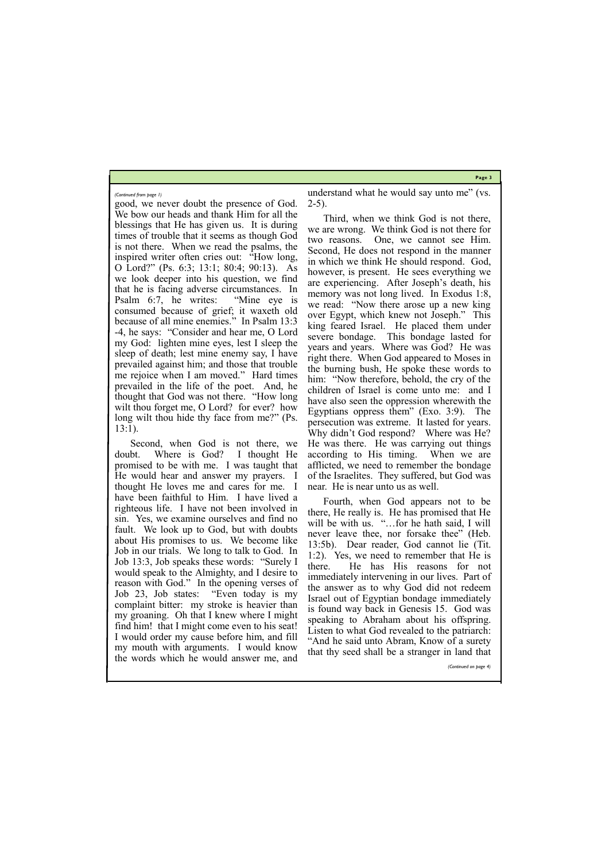**Page 3**

good, we never doubt the presence of God. We bow our heads and thank Him for all the blessings that He has given us. It is during times of trouble that it seems as though God is not there. When we read the psalms, the inspired writer often cries out: "How long, O Lord?" (Ps. 6:3; 13:1; 80:4; 90:13). As we look deeper into his question, we find that he is facing adverse circumstances. In Psalm 6:7, he writes: "Mine eye is consumed because of grief; it waxeth old because of all mine enemies." In Psalm 13:3 -4, he says: "Consider and hear me, O Lord my God: lighten mine eyes, lest I sleep the sleep of death; lest mine enemy say, I have prevailed against him; and those that trouble me rejoice when I am moved." Hard times prevailed in the life of the poet. And, he thought that God was not there. "How long wilt thou forget me, O Lord? for ever? how long wilt thou hide thy face from me?" (Ps. 13:1).

understand what he would say unto me" (vs.  $2-5$ ).

Second, when God is not there, we doubt. Where is God? I thought He promised to be with me. I was taught that He would hear and answer my prayers. I thought He loves me and cares for me. I have been faithful to Him. I have lived a righteous life. I have not been involved in sin. Yes, we examine ourselves and find no fault. We look up to God, but with doubts about His promises to us. We become like Job in our trials. We long to talk to God. In Job 13:3, Job speaks these words: "Surely I would speak to the Almighty, and I desire to reason with God." In the opening verses of Job 23, Job states: "Even today is my complaint bitter: my stroke is heavier than my groaning. Oh that I knew where I might find him! that I might come even to his seat! I would order my cause before him, and fill my mouth with arguments. I would know

Third, when we think God is not there, we are wrong. We think God is not there for two reasons. One, we cannot see Him. Second, He does not respond in the manner in which we think He should respond. God, however, is present. He sees everything we are experiencing. After Joseph's death, his memory was not long lived. In Exodus 1:8, we read: "Now there arose up a new king over Egypt, which knew not Joseph." This king feared Israel. He placed them under severe bondage. This bondage lasted for years and years. Where was God? He was right there. When God appeared to Moses in the burning bush, He spoke these words to him: "Now therefore, behold, the cry of the children of Israel is come unto me: and I have also seen the oppression wherewith the Egyptians oppress them" (Exo. 3:9). The persecution was extreme. It lasted for years. Why didn't God respond? Where was He? He was there. He was carrying out things according to His timing. When we are afflicted, we need to remember the bondage of the Israelites. They suffered, but God was near. He is near unto us as well.

the words which he would answer me, and that thy seed shall be a stranger in land that *(Continued on page 4)*

Fourth, when God appears not to be there, He really is. He has promised that He will be with us. "...for he hath said, I will never leave thee, nor forsake thee" (Heb. 13:5b). Dear reader, God cannot lie (Tit. 1:2). Yes, we need to remember that He is there. He has His reasons for not immediately intervening in our lives. Part of the answer as to why God did not redeem Israel out of Egyptian bondage immediately is found way back in Genesis 15. God was speaking to Abraham about his offspring. Listen to what God revealed to the patriarch: "And he said unto Abram, Know of a surety

*(Continued from page 1)*